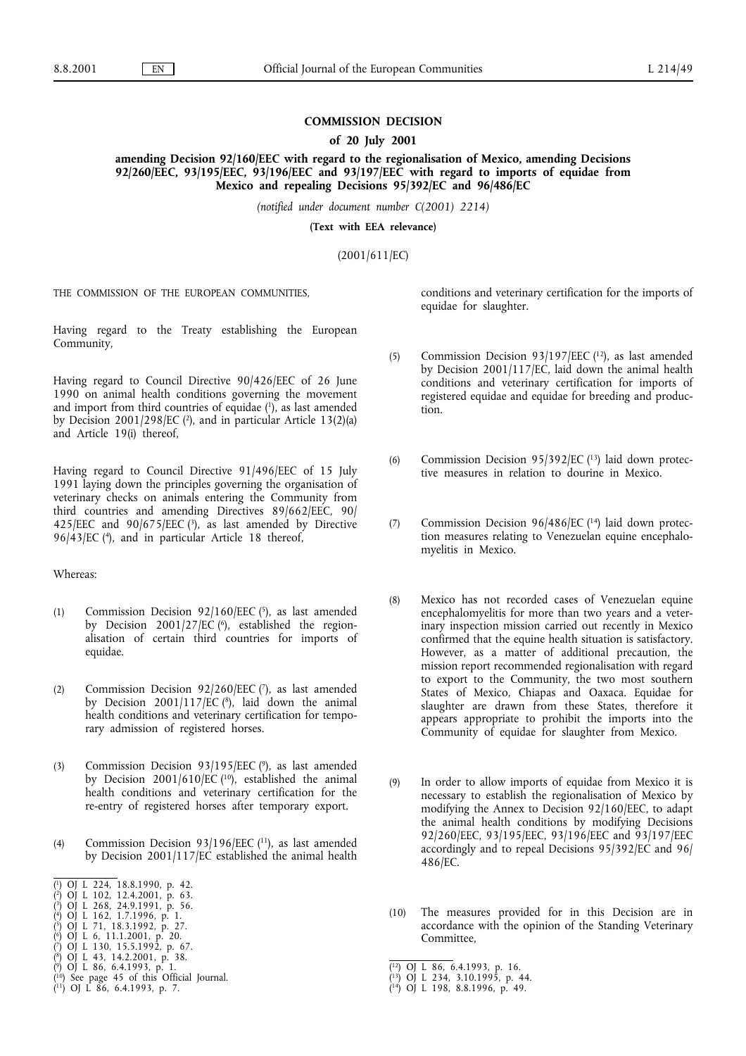# **COMMISSION DECISION**

## **of 20 July 2001**

amending Decision 92/160/EEC with regard to the regionalisation of Mexico, amending Decisions **92/260/EEC, 93/195/EEC, 93/196/EEC and 93/197/EEC withregard to imports of equidae from Mexico and repealing Decisions 95/392/EC and 96/486/EC**

*(notified under document number C(2001) 2214)*

(Text with **EEA** relevance)

(2001/611/EC)

THE COMMISSION OF THE EUROPEAN COMMUNITIES,

Having regard to the Treaty establishing the European Community,

Having regard to Council Directive 90/426/EEC of 26 June 1990 on animal health conditions governing the movement and import from third countries of equidae (1), as last amended by Decision 2001/298/EC ( $2$ ), and in particular Article 13(2)(a) and Article 19(i) thereof,

Having regard to Council Directive 91/496/EEC of 15 July 1991 laying down the principles governing the organisation of veterinary checks on animals entering the Community from third countries and amending Directives 89/662/EEC, 90/ 425/EEC and  $90/675/EEC$  (3), as last amended by Directive 96/43/EC (4), and in particular Article 18 thereof,

Whereas:

- (1) Commission Decision  $92/160/EEC$  (5), as last amended by Decision  $2001/27/EC$  ( $\degree$ ), established the regionalisation of certain third countries for imports of equidae.
- (2) Commission Decision 92/260/EEC (7), as last amended by Decision 2001/117/EC (8), laid down the animal health conditions and veterinary certification for temporary admission of registered horses.
- (3) Commission Decision 93/195/EEC (9), as last amended by Decision 2001/610/EC  $(10)$ , established the animal health conditions and veterinary certification for the re-entry of registered horses after temporary export.
- (4) Commission Decision 93/196/EEC (11), as last amended by Decision 2001/117/EC established the animal health

- ( 5)OJ L 71, 18.3.1992, p. 27.
- ( 6)OJ L 6, 11.1.2001, p. 20.
- ( 0) L 5, 11, 10.9.1992, p. 25.<br>
0) L 6, 11.1.2001, p. 20.<br>
0) L 130, 15.5.1992, p. 67.<br>
0) L 43, 14.2.2001, p. 38.
- ( 8)OJ L 43, 14.2.2001, p. 38.
- (
- 

conditions and veterinary certification for the imports of equidae for slaughter.

- (5) Commission Decision 93/197/EEC (12), as last amended by Decision 2001/117/EC, laid down the animal health conditions and veterinary certification for imports of registered equidae and equidae for breeding and production.
- (6) Commission Decision 95/392/EC  $(13)$  laid down protective measures in relation to dourine in Mexico.
- (7) Commission Decision 96/486/EC  $(14)$  laid down protection measures relating to Venezuelan equine encephalomyelitis in Mexico.
- (8) Mexico has not recorded cases of Venezuelan equine encephalomyelitis for more than two years and a veterinary inspection mission carried out recently in Mexico confirmed that the equine health situation is satisfactory. However, as a matter of additional precaution, the mission report recommended regionalisation with regard to export to the Community, the two most southern States of Mexico, Chiapas and Oaxaca. Equidae for slaughter are drawn from these States, therefore it appears appropriate to prohibit the imports into the Community of equidae for slaughter from Mexico.
- (9) In order to allow imports of equidae from Mexico it is necessary to establish the regionalisation of Mexico by modifying the Annex to Decision 92/160/EEC, to adapt the animal health conditions by modifying Decisions 92/260/EEC, 93/195/EEC, 93/196/EEC and 93/197/EEC accordingly and to repeal Decisions 95/392/EC and 96/ 486/EC.
- (10) The measures provided for in this Decision are in accordance with the opinion of the Standing Veterinary Committee,

<sup>(</sup> OJ L 224, 18.8.1990, p. 42.

<sup>(</sup> 2)OJ L 102, 12.4.2001, p. 63.

<sup>(</sup> 3)OJ L 268, 24.9.1991, p. 56. ( 4)OJ L 162, 1.7.1996, p. 1.

<sup>(</sup> $^{12}$ ) OJ L 86, 6.4.1993, p. 16.<br>
( $^{13}$ ) OJ L 234, 3.10.1995, p. 44.<br>
( $^{14}$ ) OJ L 198, 8.8.1996, p. 49.

<sup>(</sup> $^{10}$ ) See page 45 of this Official Journal. (13) (13) OJ L 234, 3.10.1995, p. 44.

<sup>(</sup> 11)OJ L 86, 6.4.1993, p. 7. (14)OJ L 198, 8.8.1996, p. 49.